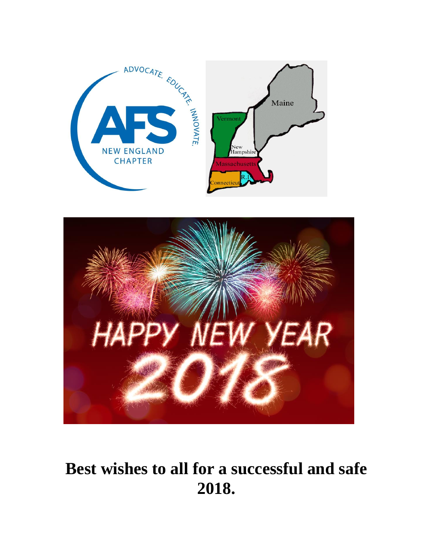



## **Best wishes to all for a successful and safe 2018.**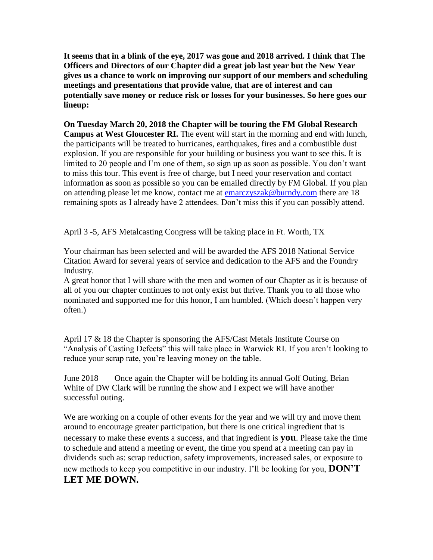**It seems that in a blink of the eye, 2017 was gone and 2018 arrived. I think that The Officers and Directors of our Chapter did a great job last year but the New Year gives us a chance to work on improving our support of our members and scheduling meetings and presentations that provide value, that are of interest and can potentially save money or reduce risk or losses for your businesses. So here goes our lineup:**

**On Tuesday March 20, 2018 the Chapter will be touring the FM Global Research Campus at West Gloucester RI.** The event will start in the morning and end with lunch, the participants will be treated to hurricanes, earthquakes, fires and a combustible dust explosion. If you are responsible for your building or business you want to see this. It is limited to 20 people and I'm one of them, so sign up as soon as possible. You don't want to miss this tour. This event is free of charge, but I need your reservation and contact information as soon as possible so you can be emailed directly by FM Global. If you plan on attending please let me know, contact me at [emarczyszak@burndy.com](mailto:emarczyszak@burndy.com) there are 18 remaining spots as I already have 2 attendees. Don't miss this if you can possibly attend.

April 3 -5, AFS Metalcasting Congress will be taking place in Ft. Worth, TX

Your chairman has been selected and will be awarded the AFS 2018 National Service Citation Award for several years of service and dedication to the AFS and the Foundry Industry.

A great honor that I will share with the men and women of our Chapter as it is because of all of you our chapter continues to not only exist but thrive. Thank you to all those who nominated and supported me for this honor, I am humbled. (Which doesn't happen very often.)

April 17 & 18 the Chapter is sponsoring the AFS/Cast Metals Institute Course on "Analysis of Casting Defects" this will take place in Warwick RI. If you aren't looking to reduce your scrap rate, you're leaving money on the table.

June 2018 Once again the Chapter will be holding its annual Golf Outing, Brian White of DW Clark will be running the show and I expect we will have another successful outing.

We are working on a couple of other events for the year and we will try and move them around to encourage greater participation, but there is one critical ingredient that is necessary to make these events a success, and that ingredient is **you**. Please take the time to schedule and attend a meeting or event, the time you spend at a meeting can pay in dividends such as: scrap reduction, safety improvements, increased sales, or exposure to new methods to keep you competitive in our industry. I'll be looking for you, **DON'T LET ME DOWN.**